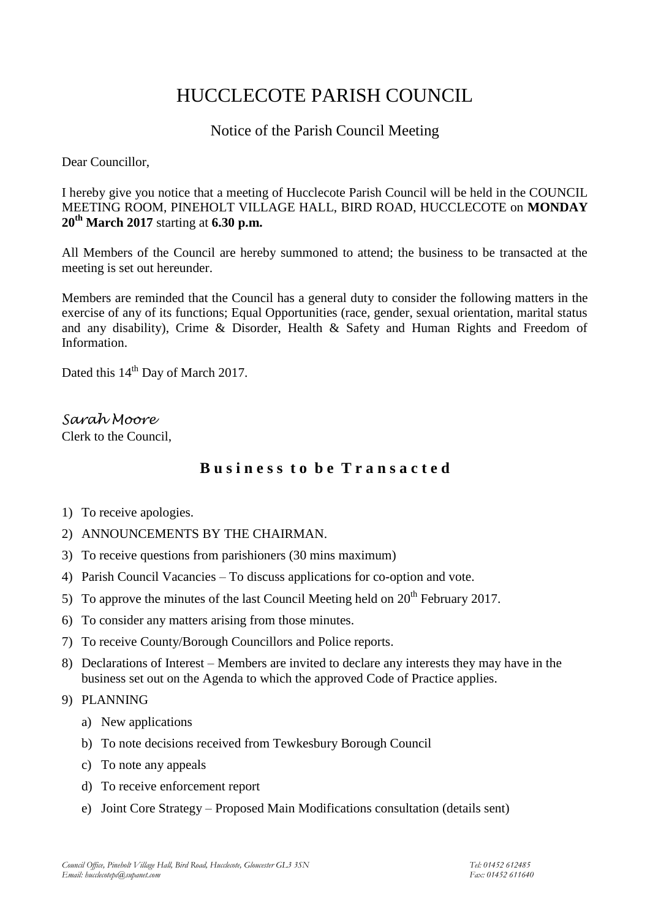# HUCCLECOTE PARISH COUNCIL

# Notice of the Parish Council Meeting

Dear Councillor,

I hereby give you notice that a meeting of Hucclecote Parish Council will be held in the COUNCIL MEETING ROOM, PINEHOLT VILLAGE HALL, BIRD ROAD, HUCCLECOTE on **MONDAY 20th March 2017** starting at **6.30 p.m.**

All Members of the Council are hereby summoned to attend; the business to be transacted at the meeting is set out hereunder.

Members are reminded that the Council has a general duty to consider the following matters in the exercise of any of its functions; Equal Opportunities (race, gender, sexual orientation, marital status and any disability), Crime & Disorder, Health & Safety and Human Rights and Freedom of Information.

Dated this 14<sup>th</sup> Day of March 2017.

*Sarah Moore* Clerk to the Council,

# **B u s i n e s s t o b e T r a n s a c t e d**

- 1) To receive apologies.
- 2) ANNOUNCEMENTS BY THE CHAIRMAN.
- 3) To receive questions from parishioners (30 mins maximum)
- 4) Parish Council Vacancies To discuss applications for co-option and vote.
- 5) To approve the minutes of the last Council Meeting held on  $20<sup>th</sup>$  February 2017.
- 6) To consider any matters arising from those minutes.
- 7) To receive County/Borough Councillors and Police reports.
- 8) Declarations of Interest Members are invited to declare any interests they may have in the business set out on the Agenda to which the approved Code of Practice applies.
- 9) PLANNING
	- a) New applications
	- b) To note decisions received from Tewkesbury Borough Council
	- c) To note any appeals
	- d) To receive enforcement report
	- e) Joint Core Strategy Proposed Main Modifications consultation (details sent)